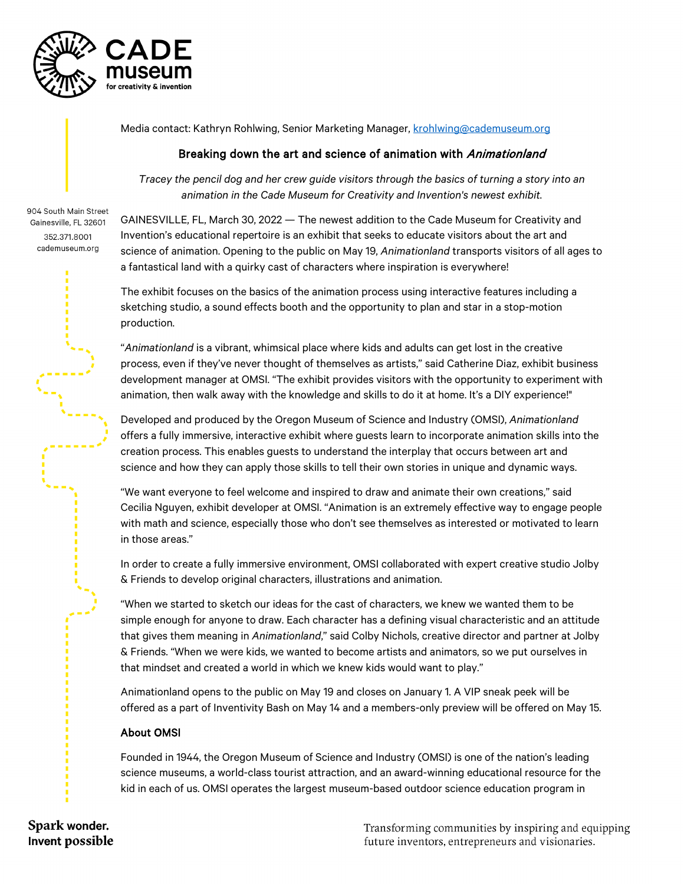

Media contact: Kathryn Rohlwing, Senior Marketing Manager, [krohlwing@cademuseum.org](mailto:krohlwing@cademuseum.org)

## Breaking down the art and science of animation with Animationland

*Tracey the pencil dog and her crew guide visitors through the basics of turning a story into an animation in the Cade Museum for Creativity and Invention's newest exhibit.*

904 South Main Street Gainesville, FL 32601 352.371.8001 cademuseum.org

GAINESVILLE, FL, March 30, 2022 — The newest addition to the Cade Museum for Creativity and Invention's educational repertoire is an exhibit that seeks to educate visitors about the art and science of animation. Opening to the public on May 19, *Animationland* transports visitors of all ages to a fantastical land with a quirky cast of characters where inspiration is everywhere!

The exhibit focuses on the basics of the animation process using interactive features including a sketching studio, a sound effects booth and the opportunity to plan and star in a stop-motion production.

"*Animationland* is a vibrant, whimsical place where kids and adults can get lost in the creative process, even if they've never thought of themselves as artists," said Catherine Diaz, exhibit business development manager at OMSI. "The exhibit provides visitors with the opportunity to experiment with animation, then walk away with the knowledge and skills to do it at home. It's a DIY experience!"

Developed and produced by the Oregon Museum of Science and Industry (OMSI), *Animationland* offers a fully immersive, interactive exhibit where guests learn to incorporate animation skills into the creation process. This enables guests to understand the interplay that occurs between art and science and how they can apply those skills to tell their own stories in unique and dynamic ways.

"We want everyone to feel welcome and inspired to draw and animate their own creations," said Cecilia Nguyen, exhibit developer at OMSI. "Animation is an extremely effective way to engage people with math and science, especially those who don't see themselves as interested or motivated to learn in those areas."

In order to create a fully immersive environment, OMSI collaborated with expert creative studio Jolby & Friends to develop original characters, illustrations and animation.

"When we started to sketch our ideas for the cast of characters, we knew we wanted them to be simple enough for anyone to draw. Each character has a defining visual characteristic and an attitude that gives them meaning in *Animationland*," said Colby Nichols, creative director and partner at Jolby & Friends. "When we were kids, we wanted to become artists and animators, so we put ourselves in that mindset and created a world in which we knew kids would want to play."

Animationland opens to the public on May 19 and closes on January 1. A VIP sneak peek will be offered as a part of Inventivity Bash on May 14 and a members-only preview will be offered on May 15.

## About OMSI

Founded in 1944, the Oregon Museum of Science and Industry (OMSI) is one of the nation's leading science museums, a world-class tourist attraction, and an award-winning educational resource for the kid in each of us. OMSI operates the largest museum-based outdoor science education program in

Spark wonder. Invent possible

Transforming communities by inspiring and equipping future inventors, entrepreneurs and visionaries.